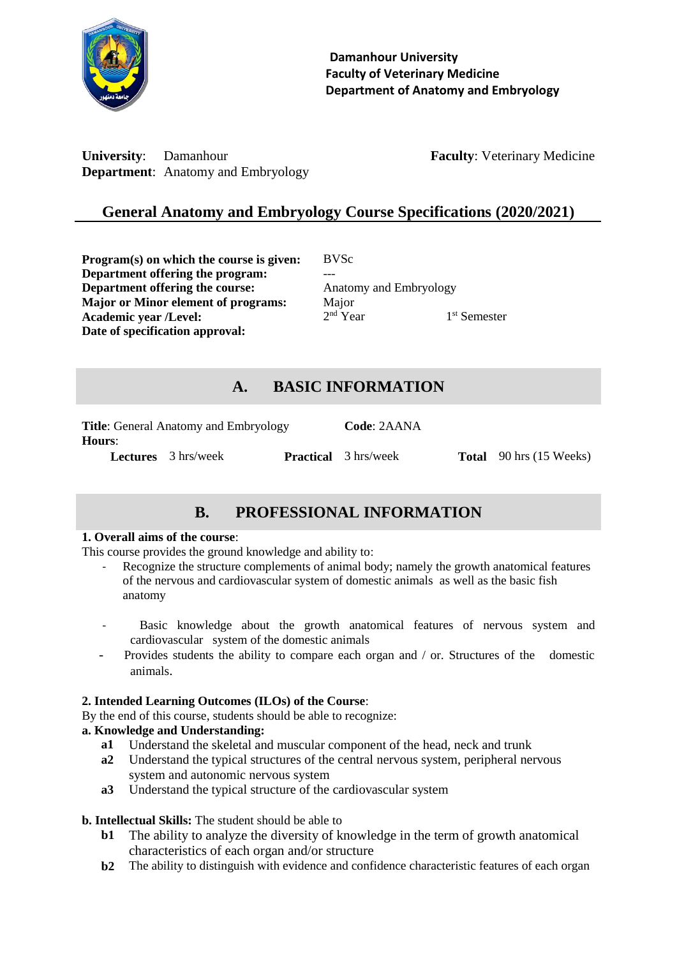

**University:** Damanhour **Faculty: Veterinary Medicine Department**: Anatomy and Embryology

# **General Anatomy and Embryology Course Specifications (2020/2021)**

**Program(s) on which the course is given:** BVSc **Department offering the program: Department offering the course:** Anatomy and Embryology **Major or Minor element of programs:** Major **Academic year /Level:** 2 **Date of specification approval:**

 $2<sup>nd</sup>$  Year

## 1<sup>st</sup> Semester

## **A. BASIC INFORMATION**

| <b>Title:</b> General Anatomy and Embryology |                            |  | Code: 2AANA                 |                                |
|----------------------------------------------|----------------------------|--|-----------------------------|--------------------------------|
| <b>Hours:</b>                                |                            |  |                             |                                |
|                                              | <b>Lectures</b> 3 hrs/week |  | <b>Practical</b> 3 hrs/week | <b>Total</b> 90 hrs (15 Weeks) |

# **B. PROFESSIONAL INFORMATION**

### **1. Overall aims of the course**:

This course provides the ground knowledge and ability to:

- Recognize the structure complements of animal body; namely the growth anatomical features of the nervous and cardiovascular system of domestic animals as well as the basic fish anatomy
- Basic knowledge about the growth anatomical features of nervous system and cardiovascular system of the domestic animals
- Provides students the ability to compare each organ and / or. Structures of the domestic animals.

### **2. Intended Learning Outcomes (ILOs) of the Course**:

By the end of this course, students should be able to recognize:

### **a. Knowledge and Understanding:**

- **a1** Understand the skeletal and muscular component of the head, neck and trunk
- **a2** Understand the typical structures of the central nervous system, peripheral nervous system and autonomic nervous system
- **a3** Understand the typical structure of the cardiovascular system

### **b. Intellectual Skills:** The student should be able to

- **b1** The ability to analyze the diversity of knowledge in the term of growth anatomical characteristics of each organ and/or structure
- **b2** The ability to distinguish with evidence and confidence characteristic features of each organ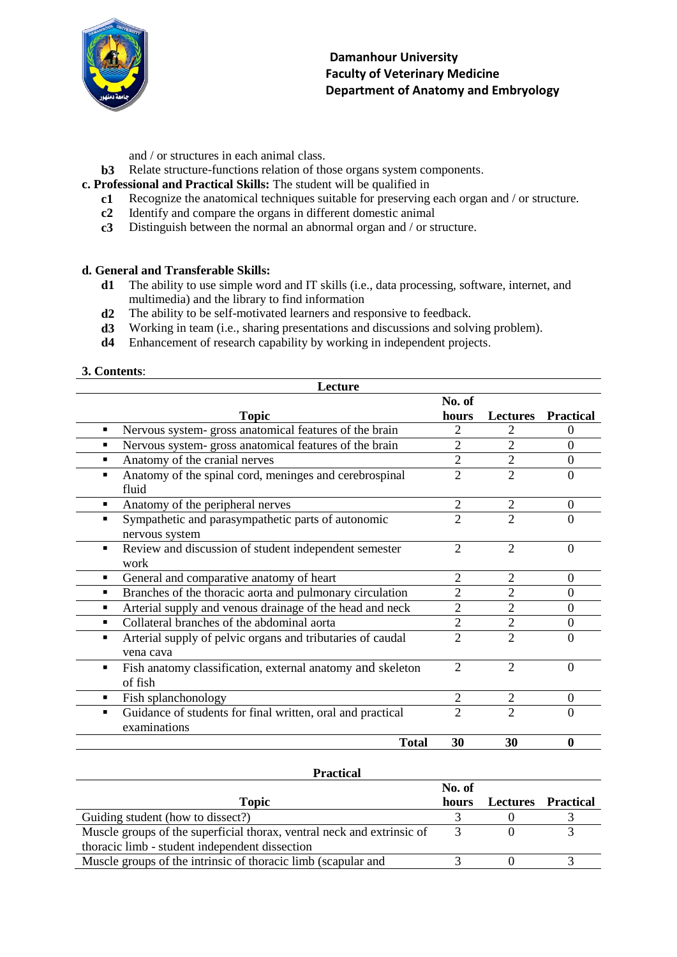

- and / or structures in each animal class.
- **b3** Relate structure-functions relation of those organs system components.
- **c. Professional and Practical Skills:** The student will be qualified in
	- **c1** Recognize the anatomical techniques suitable for preserving each organ and / or structure.
	- **c2** Identify and compare the organs in different domestic animal
	- **c3** Distinguish between the normal an abnormal organ and / or structure.

### **d. General and Transferable Skills:**

- **d1** The ability to use simple word and IT skills (i.e., data processing, software, internet, and multimedia) and the library to find information
- **d2** The ability to be self-motivated learners and responsive to feedback.
- **d3** Working in team (i.e., sharing presentations and discussions and solving problem).
- **d4** Enhancement of research capability by working in independent projects.

**3. Contents**:

| Lecture                                                                                   |                |                |                           |
|-------------------------------------------------------------------------------------------|----------------|----------------|---------------------------|
|                                                                                           | No. of         |                |                           |
| <b>Topic</b>                                                                              | hours          |                | <b>Lectures Practical</b> |
| Nervous system-gross anatomical features of the brain<br>٠                                | 2              | 2              | $\Omega$                  |
| Nervous system- gross anatomical features of the brain                                    | $\overline{2}$ | $\overline{2}$ | $\overline{0}$            |
| Anatomy of the cranial nerves                                                             | $\overline{2}$ | $\overline{2}$ | $\overline{0}$            |
| Anatomy of the spinal cord, meninges and cerebrospinal<br>٠<br>fluid                      | $\overline{2}$ | $\overline{2}$ | $\theta$                  |
| Anatomy of the peripheral nerves<br>٠                                                     | $\overline{2}$ | $\overline{2}$ | $\Omega$                  |
| Sympathetic and parasympathetic parts of autonomic<br>$\blacksquare$<br>nervous system    | $\overline{2}$ | $\overline{2}$ | $\Omega$                  |
| Review and discussion of student independent semester<br>$\blacksquare$<br>work           | $\overline{2}$ | $\overline{2}$ | $\overline{0}$            |
| General and comparative anatomy of heart<br>٠                                             | $\overline{2}$ | 2              | $\theta$                  |
| Branches of the thoracic aorta and pulmonary circulation<br>٠                             | $\overline{2}$ | 2              | $\overline{0}$            |
| Arterial supply and venous drainage of the head and neck<br>٠                             | $\overline{c}$ | $\overline{2}$ | $\overline{0}$            |
| Collateral branches of the abdominal aorta<br>٠                                           | $\overline{2}$ | $\overline{2}$ | $\Omega$                  |
| Arterial supply of pelvic organs and tributaries of caudal<br>$\blacksquare$<br>vena cava | $\overline{2}$ | $\overline{2}$ | $\Omega$                  |
| Fish anatomy classification, external anatomy and skeleton<br>$\blacksquare$<br>of fish   | $\overline{2}$ | $\overline{2}$ | $\Omega$                  |
| Fish splanchonology<br>٠                                                                  | $\overline{2}$ | $\overline{2}$ | $\Omega$                  |
| Guidance of students for final written, oral and practical<br>٠<br>examinations           | $\overline{2}$ | $\overline{2}$ | $\Omega$                  |
| <b>Total</b>                                                                              | 30             | 30             | $\mathbf 0$               |

#### **Practical**

|                                                                        | No. of |                    |  |
|------------------------------------------------------------------------|--------|--------------------|--|
| <b>Topic</b>                                                           | hours  | Lectures Practical |  |
| Guiding student (how to dissect?)                                      |        |                    |  |
| Muscle groups of the superficial thorax, ventral neck and extrinsic of |        |                    |  |
| thoracic limb - student independent dissection                         |        |                    |  |
| Muscle groups of the intrinsic of thoracic limb (scapular and          |        |                    |  |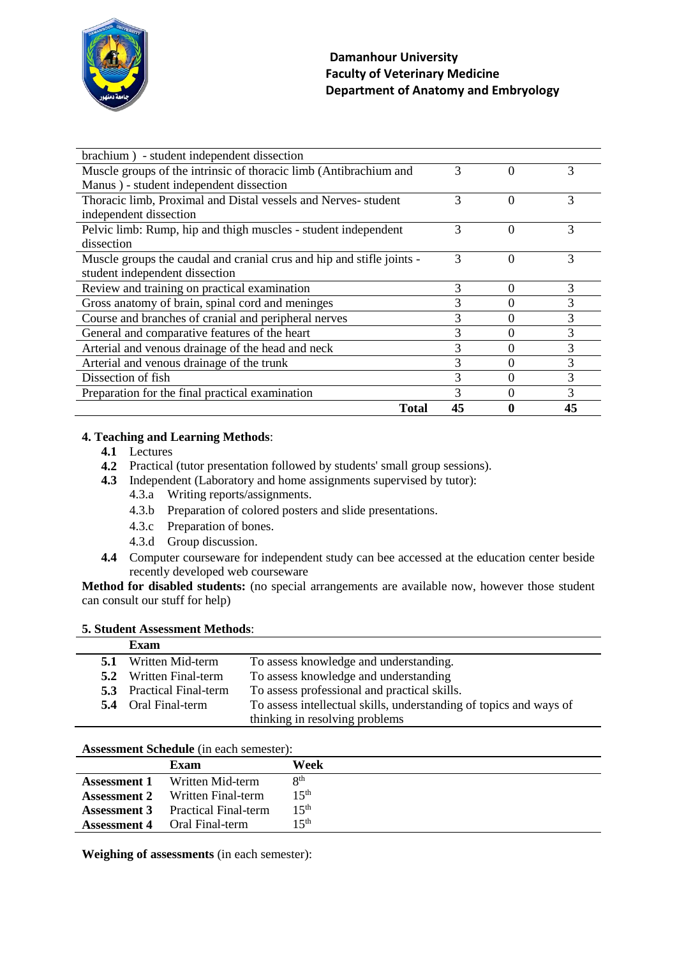

| brachium) - student independent dissection                            |    |          |    |
|-----------------------------------------------------------------------|----|----------|----|
| Muscle groups of the intrinsic of thoracic limb (Antibrachium and     | 3  | $\Omega$ | 3  |
| Manus) - student independent dissection                               |    |          |    |
| Thoracic limb, Proximal and Distal vessels and Nerves- student        | 3  | $\Omega$ | 3  |
| independent dissection                                                |    |          |    |
| Pelvic limb: Rump, hip and thigh muscles - student independent        | 3  | $\Omega$ | 3  |
| dissection                                                            |    |          |    |
| Muscle groups the caudal and cranial crus and hip and stifle joints - | 3  | 0        | 3  |
| student independent dissection                                        |    |          |    |
| Review and training on practical examination                          | 3  | $\Omega$ | 3  |
| Gross anatomy of brain, spinal cord and meninges                      | 3  | 0        | 3  |
| Course and branches of cranial and peripheral nerves                  | 3  | 0        | 3  |
| General and comparative features of the heart                         | 3  | 0        | 3  |
| Arterial and venous drainage of the head and neck                     | 3  | 0        | 3  |
| Arterial and venous drainage of the trunk                             | 3  | 0        | 3  |
| Dissection of fish                                                    | 3  | 0        | 3  |
| Preparation for the final practical examination                       | 3  | 0        | 3  |
| <b>Total</b>                                                          | 45 | 0        | 45 |

### **4. Teaching and Learning Methods**:

- **4.1** Lectures
- **4.2** Practical (tutor presentation followed by students' small group sessions).
- **4.3** Independent (Laboratory and home assignments supervised by tutor):
	- 4.3.a Writing reports/assignments.
	- 4.3.b Preparation of colored posters and slide presentations.
	- 4.3.c Preparation of bones.
	- 4.3.d Group discussion.
- **4.4** Computer courseware for independent study can bee accessed at the education center beside recently developed web courseware

**Method for disabled students:** (no special arrangements are available now, however those student can consult our stuff for help)

### **5. Student Assessment Methods**:

|     | Exam                            |                                                                    |
|-----|---------------------------------|--------------------------------------------------------------------|
| 5.1 | Written Mid-term                | To assess knowledge and understanding.                             |
| 5.2 | Written Final-term              | To assess knowledge and understanding                              |
|     | <b>5.3</b> Practical Final-term | To assess professional and practical skills.                       |
|     | <b>5.4</b> Oral Final-term      | To assess intellectual skills, understanding of topics and ways of |
|     |                                 | thinking in resolving problems                                     |

#### **Assessment Schedule** (in each semester):

|                     | Exam                        | Week             |
|---------------------|-----------------------------|------------------|
| <b>Assessment 1</b> | Written Mid-term            | Qth              |
| <b>Assessment 2</b> | Written Final-term          | 15 <sup>th</sup> |
| <b>Assessment 3</b> | <b>Practical Final-term</b> | 15 <sup>th</sup> |
| <b>Assessment 4</b> | <b>Oral Final-term</b>      | 15th             |

**Weighing of assessments** (in each semester):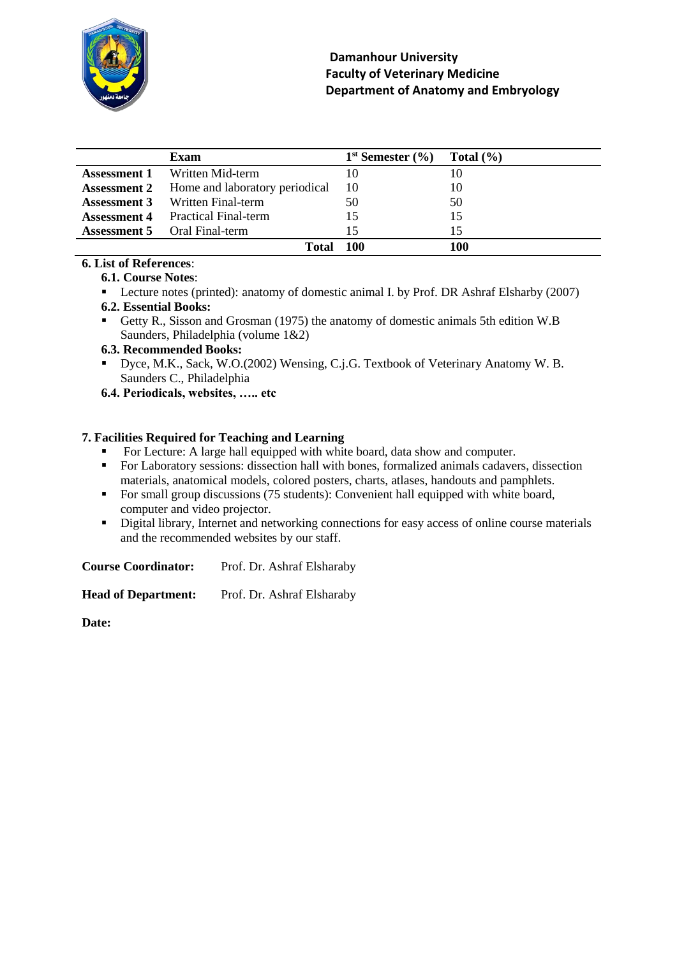

|                     | Exam                                   | $1st$ Semester $(\frac{6}{6})$ | Total $(\% )$ |
|---------------------|----------------------------------------|--------------------------------|---------------|
| Assessment 1        | Written Mid-term                       |                                | 10            |
| <b>Assessment 2</b> | Home and laboratory periodical         | 10                             | 10            |
|                     | <b>Assessment 3</b> Written Final-term | 50                             | 50            |
| <b>Assessment 4</b> | <b>Practical Final-term</b>            |                                | 15            |
|                     | <b>Assessment 5</b> Oral Final-term    | 15                             |               |
|                     | Total                                  | 100                            | 100           |

### **6. List of References**:

### **6.1. Course Notes**:

**Lecture notes (printed): anatomy of domestic animal I. by Prof. DR Ashraf Elsharby (2007)** 

### **6.2. Essential Books:**

Getty R., Sisson and Grosman (1975) the anatomy of domestic animals 5th edition W.B Saunders, Philadelphia (volume 1&2)

### **6.3. Recommended Books:**

- Dyce, M.K., Sack, W.O.(2002) Wensing, C.j.G. Textbook of Veterinary Anatomy W. B. Saunders C., Philadelphia
- **6.4. Periodicals, websites, ….. etc**

### **7. Facilities Required for Teaching and Learning**

- For Lecture: A large hall equipped with white board, data show and computer.
- For Laboratory sessions: dissection hall with bones, formalized animals cadavers, dissection materials, anatomical models, colored posters, charts, atlases, handouts and pamphlets.
- For small group discussions (75 students): Convenient hall equipped with white board, computer and video projector.
- Digital library, Internet and networking connections for easy access of online course materials and the recommended websites by our staff.

**Course Coordinator:** Prof. Dr. Ashraf Elsharaby

Head of Department: Prof. Dr. Ashraf Elsharaby

**Date:**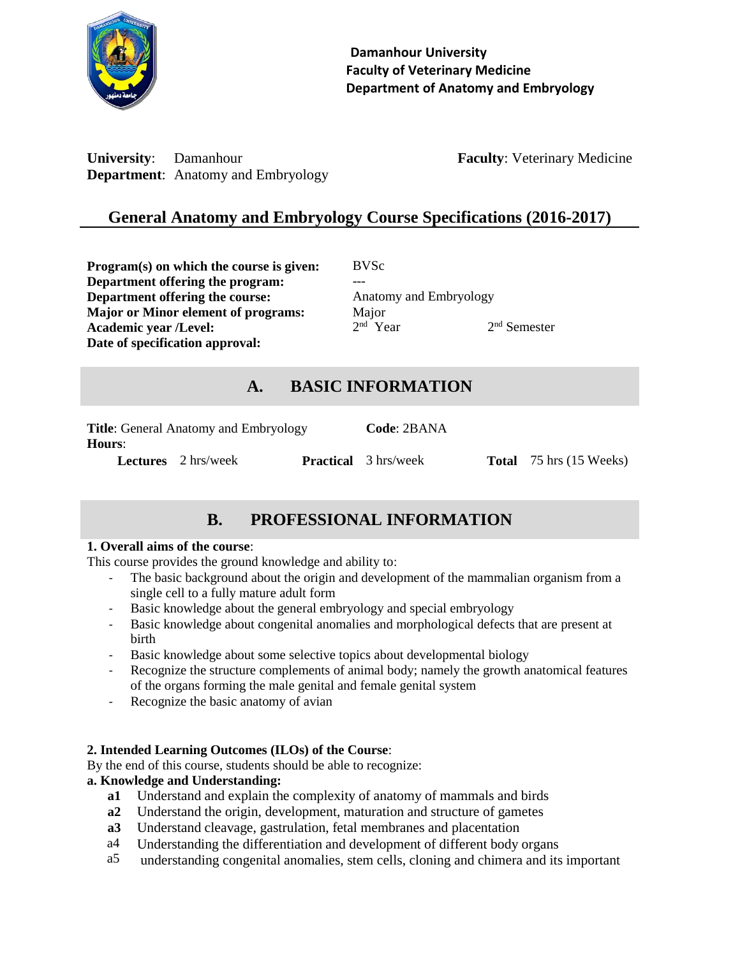

**University:** Damanhour **Faculty: Veterinary Medicine Department**: Anatomy and Embryology

# **General Anatomy and Embryology Course Specifications (2016-2017)**

**Program(s) on which the course is given:** BVSc **Department offering the program:** --- **Department offering the course:** Anatomy and Embryology **Major or Minor element of programs:** Major **Academic year /Level:** 2 **Date of specification approval:**

<sup>nd</sup> Year 2  $2<sup>nd</sup>$  Semester

# **A. BASIC INFORMATION**

| <b>Title:</b> General Anatomy and Embryology<br><b>Hours:</b> |                            |  | Code: 2BANA                 |                                |
|---------------------------------------------------------------|----------------------------|--|-----------------------------|--------------------------------|
|                                                               | <b>Lectures</b> 2 hrs/week |  | <b>Practical</b> 3 hrs/week | <b>Total</b> 75 hrs (15 Weeks) |

# **B. PROFESSIONAL INFORMATION**

### **1. Overall aims of the course**:

This course provides the ground knowledge and ability to:

- The basic background about the origin and development of the mammalian organism from a single cell to a fully mature adult form
- Basic knowledge about the general embryology and special embryology
- Basic knowledge about congenital anomalies and morphological defects that are present at birth
- Basic knowledge about some selective topics about developmental biology
- Recognize the structure complements of animal body; namely the growth anatomical features of the organs forming the male genital and female genital system
- Recognize the basic anatomy of avian

### **2. Intended Learning Outcomes (ILOs) of the Course**:

By the end of this course, students should be able to recognize:

### **a. Knowledge and Understanding:**

- **a1** Understand and explain the complexity of anatomy of mammals and birds
- **a2** Understand the origin, development, maturation and structure of gametes
- **a3** Understand cleavage, gastrulation, fetal membranes and placentation
- a4 Understanding the differentiation and development of different body organs
- a5 understanding congenital anomalies, stem cells, cloning and chimera and its important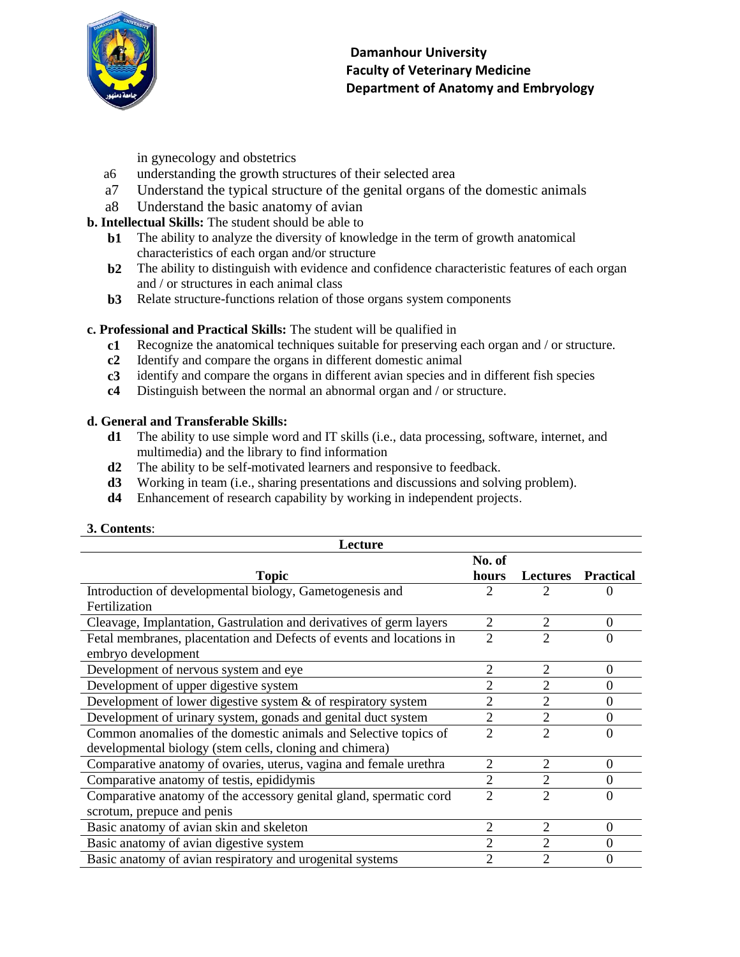

in gynecology and obstetrics

- a6 understanding the growth structures of their selected area
- a7 Understand the typical structure of the genital organs of the domestic animals
- a8 Understand the basic anatomy of avian
- **b. Intellectual Skills:** The student should be able to
	- **b1** The ability to analyze the diversity of knowledge in the term of growth anatomical characteristics of each organ and/or structure
	- **b2** The ability to distinguish with evidence and confidence characteristic features of each organ and / or structures in each animal class
	- **b3** Relate structure-functions relation of those organs system components

### **c. Professional and Practical Skills:** The student will be qualified in

- **c1** Recognize the anatomical techniques suitable for preserving each organ and / or structure.
- **c2** Identify and compare the organs in different domestic animal
- **c3** identify and compare the organs in different avian species and in different fish species
- **c4** Distinguish between the normal an abnormal organ and / or structure.

#### **d. General and Transferable Skills:**

- **d1** The ability to use simple word and IT skills (i.e., data processing, software, internet, and multimedia) and the library to find information
- **d2** The ability to be self-motivated learners and responsive to feedback.
- **d3** Working in team (i.e., sharing presentations and discussions and solving problem).
- **d4** Enhancement of research capability by working in independent projects.

#### **3. Contents**:

| Lecture                                                              |                |                 |                  |
|----------------------------------------------------------------------|----------------|-----------------|------------------|
|                                                                      | No. of         |                 |                  |
| <b>Topic</b>                                                         | hours          | <b>Lectures</b> | <b>Practical</b> |
| Introduction of developmental biology, Gametogenesis and             | 2              |                 |                  |
| Fertilization                                                        |                |                 |                  |
| Cleavage, Implantation, Gastrulation and derivatives of germ layers  | $\overline{2}$ | $\overline{2}$  | $\boldsymbol{0}$ |
| Fetal membranes, placentation and Defects of events and locations in | $\overline{2}$ | $\overline{2}$  | $\Omega$         |
| embryo development                                                   |                |                 |                  |
| Development of nervous system and eye                                | 2              | 2               | $\Omega$         |
| Development of upper digestive system                                | 2              | 2               | $\theta$         |
| Development of lower digestive system $\&$ of respiratory system     | 2              | $\overline{2}$  | $\theta$         |
| Development of urinary system, gonads and genital duct system        | $\overline{2}$ | $\overline{2}$  | $\theta$         |
| Common anomalies of the domestic animals and Selective topics of     | $\overline{2}$ | $\overline{2}$  | $\theta$         |
| developmental biology (stem cells, cloning and chimera)              |                |                 |                  |
| Comparative anatomy of ovaries, uterus, vagina and female urethra    | $\overline{2}$ | $\overline{2}$  | $\theta$         |
| Comparative anatomy of testis, epididymis                            | $\overline{2}$ | $\overline{2}$  | $\overline{0}$   |
| Comparative anatomy of the accessory genital gland, spermatic cord   | $\overline{2}$ | $\overline{2}$  | $\Omega$         |
| scrotum, prepuce and penis                                           |                |                 |                  |
| Basic anatomy of avian skin and skeleton                             | 2              | $\overline{2}$  | $\theta$         |
| Basic anatomy of avian digestive system                              | 2              | 2               | $\theta$         |
| Basic anatomy of avian respiratory and urogenital systems            | $\overline{2}$ | 2               | $\overline{0}$   |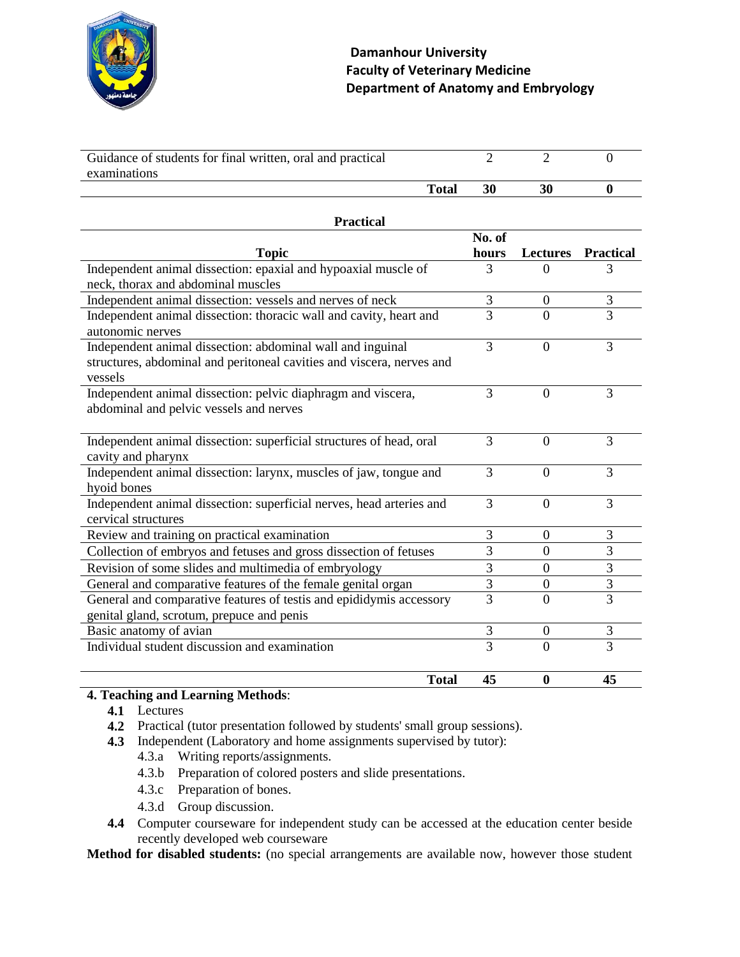

| Guidance of students for final written, oral and practical<br>examinations                                                                     | $\overline{2}$ | $\overline{2}$   | $\overline{0}$   |
|------------------------------------------------------------------------------------------------------------------------------------------------|----------------|------------------|------------------|
| <b>Total</b>                                                                                                                                   | 30             | 30               | $\boldsymbol{0}$ |
| <b>Practical</b>                                                                                                                               |                |                  |                  |
|                                                                                                                                                | No. of         |                  |                  |
| <b>Topic</b>                                                                                                                                   | hours          | <b>Lectures</b>  | <b>Practical</b> |
| Independent animal dissection: epaxial and hypoaxial muscle of<br>neck, thorax and abdominal muscles                                           | 3              | 0                | 3                |
| Independent animal dissection: vessels and nerves of neck                                                                                      | 3              | $\boldsymbol{0}$ | 3                |
| Independent animal dissection: thoracic wall and cavity, heart and<br>autonomic nerves                                                         | $\overline{3}$ | $\Omega$         | 3                |
| Independent animal dissection: abdominal wall and inguinal<br>structures, abdominal and peritoneal cavities and viscera, nerves and<br>vessels | 3              | $\Omega$         | 3                |
| Independent animal dissection: pelvic diaphragm and viscera,<br>abdominal and pelvic vessels and nerves                                        | 3              | $\theta$         | 3                |
| Independent animal dissection: superficial structures of head, oral<br>cavity and pharynx                                                      | 3              | $\theta$         | 3                |
| Independent animal dissection: larynx, muscles of jaw, tongue and<br>hyoid bones                                                               | 3              | $\theta$         | 3                |
| Independent animal dissection: superficial nerves, head arteries and<br>cervical structures                                                    | 3              | $\Omega$         | 3                |
| Review and training on practical examination                                                                                                   | 3              | $\overline{0}$   | 3                |
| Collection of embryos and fetuses and gross dissection of fetuses                                                                              | $\overline{3}$ | $\Omega$         | 3                |
| Revision of some slides and multimedia of embryology                                                                                           | 3              | $\boldsymbol{0}$ | 3                |
| General and comparative features of the female genital organ                                                                                   | $\overline{3}$ | $\boldsymbol{0}$ | $\overline{3}$   |
| General and comparative features of testis and epididymis accessory<br>genital gland, scrotum, prepuce and penis                               | $\overline{3}$ | $\theta$         | 3                |
| Basic anatomy of avian                                                                                                                         | $\mathfrak{Z}$ | $\boldsymbol{0}$ | 3                |
| Individual student discussion and examination                                                                                                  | 3              | $\Omega$         | 3                |
| <b>Total</b>                                                                                                                                   | 45             | $\boldsymbol{0}$ | 45               |

### **4. Teaching and Learning Methods**:

- **4.1** Lectures
- **4.2** Practical (tutor presentation followed by students' small group sessions).
- **4.3** Independent (Laboratory and home assignments supervised by tutor):
	- 4.3.a Writing reports/assignments.
	- 4.3.b Preparation of colored posters and slide presentations.
	- 4.3.c Preparation of bones.
	- 4.3.d Group discussion.
- **4.4** Computer courseware for independent study can be accessed at the education center beside recently developed web courseware

**Method for disabled students:** (no special arrangements are available now, however those student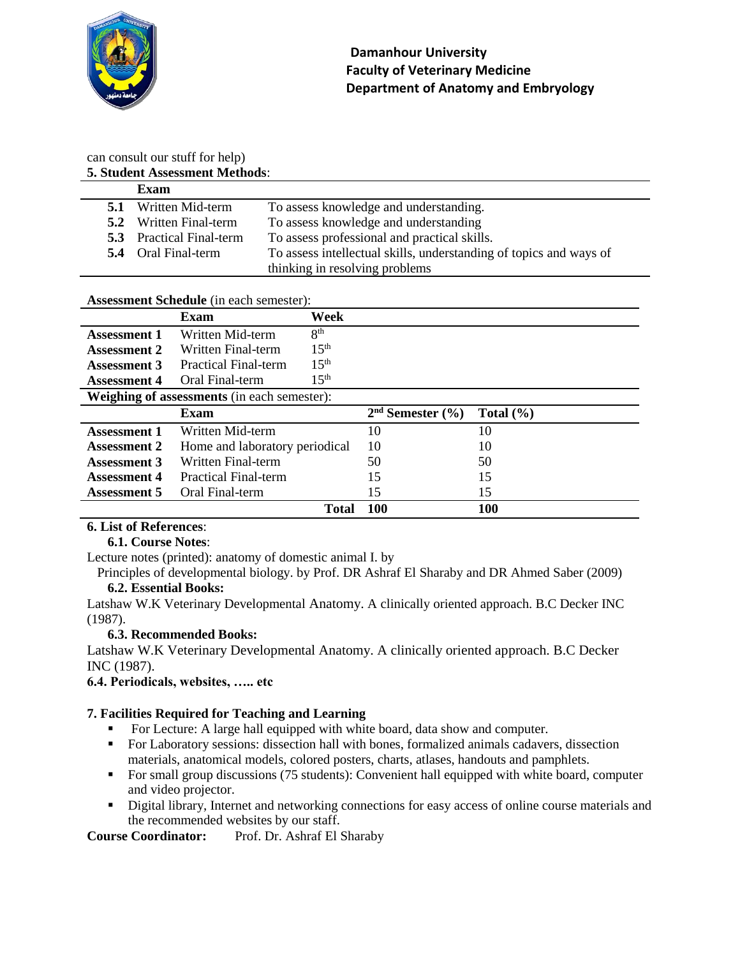

# can consult our stuff for help)

|     | <b>5. Student Assessment Methods:</b> |                                                                    |
|-----|---------------------------------------|--------------------------------------------------------------------|
|     | Exam                                  |                                                                    |
| 5.1 | Written Mid-term                      | To assess knowledge and understanding.                             |
|     | <b>5.2</b> Written Final-term         | To assess knowledge and understanding                              |
|     | <b>5.3</b> Practical Final-term       | To assess professional and practical skills.                       |
|     | <b>5.4</b> Oral Final-term            | To assess intellectual skills, understanding of topics and ways of |
|     |                                       | thinking in resolving problems                                     |

### **Assessment Schedule** (in each semester):

|                     | <b>Exam</b>                                        | Week             |                                |               |
|---------------------|----------------------------------------------------|------------------|--------------------------------|---------------|
| <b>Assessment 1</b> | Written Mid-term                                   | 8 <sup>th</sup>  |                                |               |
| <b>Assessment 2</b> | Written Final-term                                 | 15 <sup>th</sup> |                                |               |
| <b>Assessment 3</b> | Practical Final-term                               | 15 <sup>th</sup> |                                |               |
| <b>Assessment 4</b> | Oral Final-term                                    | 15 <sup>th</sup> |                                |               |
|                     | <b>Weighing of assessments</b> (in each semester): |                  |                                |               |
|                     | <b>Exam</b>                                        |                  | $2nd$ Semester $(\frac{6}{6})$ | Total $(\% )$ |
| <b>Assessment 1</b> | Written Mid-term                                   |                  | 10                             | 10            |
| <b>Assessment 2</b> | Home and laboratory periodical                     |                  | 10                             | 10            |
| <b>Assessment 3</b> | Written Final-term                                 |                  | 50                             | 50            |
| <b>Assessment 4</b> | <b>Practical Final-term</b>                        |                  | 15                             | 15            |
| <b>Assessment 5</b> | Oral Final-term                                    |                  | 15                             | 15            |
|                     |                                                    | <b>Total</b>     | 100                            | 100           |

### **6. List of References**:

### **6.1. Course Notes**:

Lecture notes (printed): anatomy of domestic animal I. by

Principles of developmental biology. by Prof. DR Ashraf El Sharaby and DR Ahmed Saber (2009) **6.2. Essential Books:**

Latshaw W.K Veterinary Developmental Anatomy. A clinically oriented approach. B.C Decker INC (1987).

### **6.3. Recommended Books:**

Latshaw W.K Veterinary Developmental Anatomy. A clinically oriented approach. B.C Decker INC (1987).

**6.4. Periodicals, websites, ….. etc**

### **7. Facilities Required for Teaching and Learning**

- For Lecture: A large hall equipped with white board, data show and computer.
- **For Laboratory sessions: dissection hall with bones, formalized animals cadavers, dissection** materials, anatomical models, colored posters, charts, atlases, handouts and pamphlets.
- For small group discussions (75 students): Convenient hall equipped with white board, computer and video projector.
- Digital library, Internet and networking connections for easy access of online course materials and the recommended websites by our staff.

**Course Coordinator:** Prof. Dr. Ashraf El Sharaby